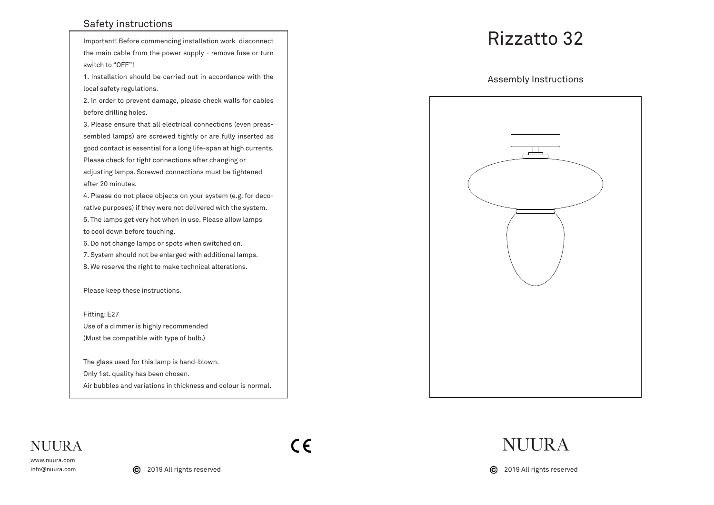## Safety instructions

Important! Before commencing installation work disconnect the main cable from the power supply - remove fuse or turn switch to "OFF"!

1. Installation should be carried out in accordance with the local safety regulations.

2. In order to prevent damage, please check walls for cables before drilling holes.

3. Please ensure that all electrical connections (even preassembled lamps) are screwed tightly or are fully inserted as good contact is essential for a long life-span at high currents. Please check for tight connections after changing or adjusting lamps. Screwed connections must be tightened after 20 minutes.

4. Please do not place objects on your system (e.g. for decorative purposes) if they were not delivered with the system. 5. The lamps get very hot when in use. Please allow lamps to cool down before touching.

6. Do not change lamps or spots when switched on.

7. System should not be enlarged with additional lamps. 8. We reserve the right to make technical alterations.

Please keep these instructions.

Fitting: E27 Use of a dimmer is highly recommended (Must be compatible with type of bulb.)

The glass used for this lamp is hand-blown. Only 1st. quality has been chosen. Air bubbles and variations in thickness and colour is normal.

## Rizzatto 32

Assembly Instructions



## **NUIRA**

www.nuura.com info@nuura.com  $C \in$ 

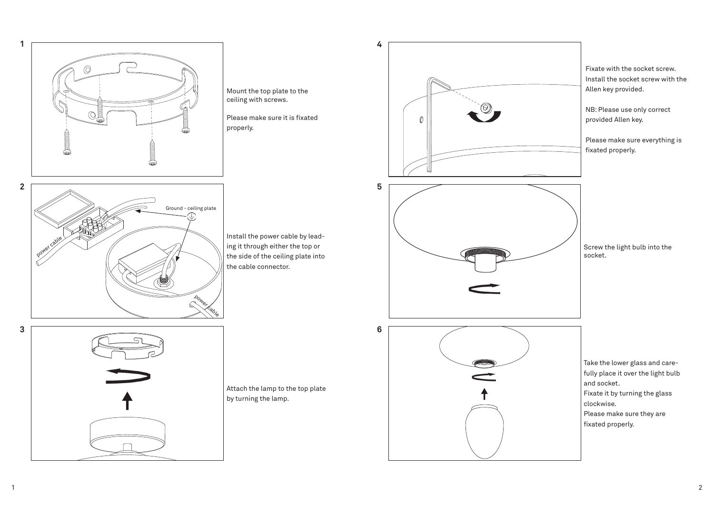

Mount the top plate to the ceiling with screws.

Please make sure it is fixated properly.

Install the power cable by leading it through either the top or the side of the ceiling plate into the cable connector.



po<sub>we</sub>

Ground - ceiling plate

Attach the lamp to the top plate by turning the lamp.



**2**

power cable

**3**